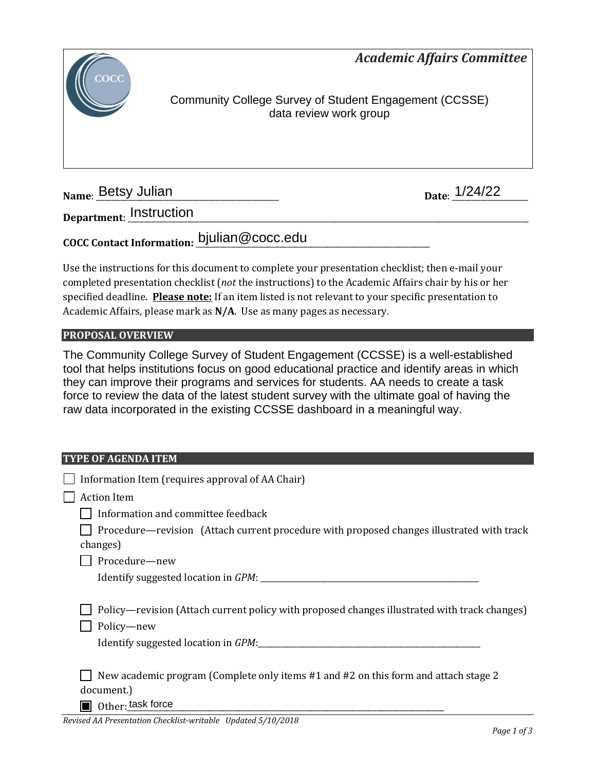*Academic Affairs Committee* 



Community College Survey of Student Engagement (CCSSE) data review work group

**Name: Betsy Julian** 

Date: 1/24/22

**Department**: \_\_\_\_\_\_\_\_\_\_\_\_\_\_\_\_\_\_\_\_\_\_\_\_\_\_\_\_\_\_\_\_\_\_\_\_\_\_\_\_\_\_\_\_\_\_\_\_\_\_\_\_\_\_\_\_\_\_\_\_\_\_\_\_\_\_\_\_\_\_\_\_\_\_\_\_\_\_\_\_\_\_\_\_\_\_\_\_\_\_\_\_\_\_\_\_\_\_\_\_\_ Instruction

# **COCC Contact Information:** \_\_\_\_\_\_\_\_\_\_\_\_\_\_\_\_\_\_\_\_\_\_\_\_\_\_\_\_\_\_\_\_\_\_\_\_\_\_\_\_\_\_\_\_\_\_\_\_\_\_\_\_\_\_\_\_\_\_\_ bjulian@cocc.edu

Use the instructions for this document to complete your presentation checklist; then e-mail your completed presentation checklist (*not* the instructions) to the Academic Affairs chair by his or her specified deadline. **Please note:** If an item listed is not relevant to your specific presentation to Academic Affairs, please mark as **N/A**. Use as many pages as necessary.

### **PROPOSAL OVERVIEW**

The Community College Survey of Student Engagement (CCSSE) is a well-established tool that helps institutions focus on good educational practice and identify areas in which they can improve their programs and services for students. AA needs to create a task force to review the data of the latest student survey with the ultimate goal of having the raw data incorporated in the existing CCSSE dashboard in a meaningful way.

#### **TYPE OF AGENDA ITEM**

| Information Item (requires approval of AA Chair)                                                                       |
|------------------------------------------------------------------------------------------------------------------------|
| <b>Action Item</b>                                                                                                     |
| Information and committee feedback                                                                                     |
| Procedure—revision (Attach current procedure with proposed changes illustrated with track                              |
| changes)                                                                                                               |
| Procedure-new                                                                                                          |
|                                                                                                                        |
| Policy—revision (Attach current policy with proposed changes illustrated with track changes)<br>Policy-new             |
| New academic program (Complete only items #1 and #2 on this form and attach stage 2<br>document.)<br>Other: task force |
|                                                                                                                        |